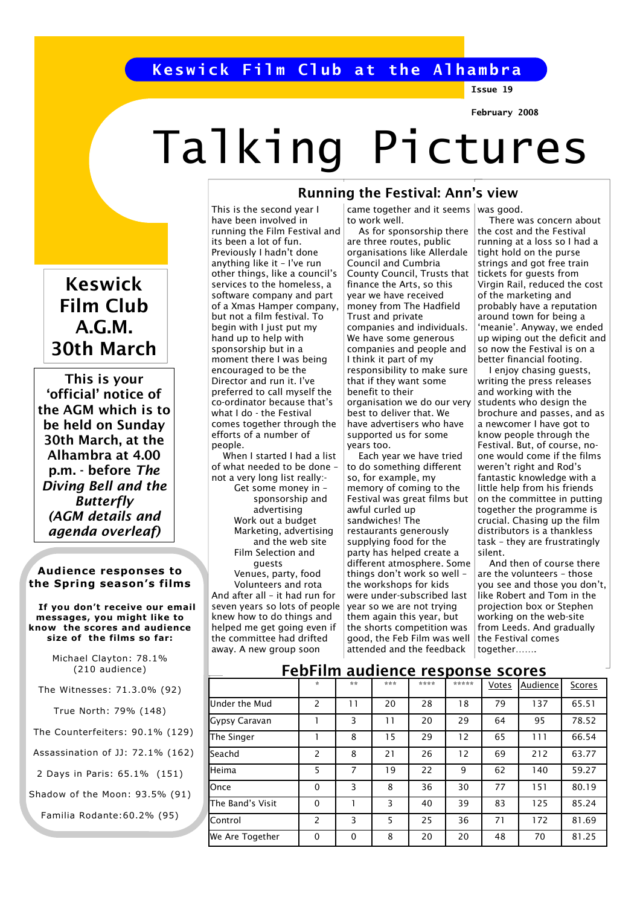# Keswick Film Club at the Alhambra

This is the second year I have been involved in

its been a lot of fun. Previously I hadn't done anything like it – I've run other things, like a council's services to the homeless, a software company and part of a Xmas Hamper company, but not a film festival. To begin with I just put my hand up to help with sponsorship but in a moment there I was being encouraged to be the Director and run it. I've preferred to call myself the co-ordinator because that's what I do - the Festival comes together through the efforts of a number of

people.

 When I started I had a list of what needed to be done – not a very long list really:- Get some money in – sponsorship and advertising Work out a budget Marketing, advertising and the web site Film Selection and guests Venues, party, food Volunteers and rota And after all – it had run for seven years so lots of people knew how to do things and helped me get going even if the committee had drifted away. A new group soon

Issue 19

February 2008

# Talking Pictures

Keswick Film Club A.G.M. 30th March

This is your 'official' notice of the AGM which is to be held on Sunday 30th March, at the Alhambra at 4.00 p.m. - before The Diving Bell and the Butterfly (AGM details and agenda overleaf)

#### Audience responses to the Spring season's films

 If you don't receive our email messages, you might like to know the scores and audience size of the films so far:

> Michael Clayton: 78.1% (210 audience)

The Witnesses: 71.3.0% (92)

True North: 79% (148)

The Counterfeiters: 90.1% (129)

Assassination of JJ: 72.1% (162)

2 Days in Paris: 65.1% (151)

Shadow of the Moon: 93.5% (91)

Familia Rodante:60.2% (95)

## Running the Festival: Ann's view

running the Film Festival and came together and it seems was good. to work well. As for sponsorship there

are three routes, public organisations like Allerdale Council and Cumbria County Council, Trusts that finance the Arts, so this year we have received money from The Hadfield Trust and private companies and individuals. We have some generous companies and people and I think it part of my responsibility to make sure that if they want some benefit to their organisation we do our very best to deliver that. We have advertisers who have supported us for some years too.

 Each year we have tried to do something different so, for example, my memory of coming to the Festival was great films but awful curled up sandwiches! The restaurants generously supplying food for the party has helped create a different atmosphere. Some things don't work so well – the workshops for kids were under-subscribed last year so we are not trying them again this year, but the shorts competition was good, the Feb Film was well attended and the feedback

 There was concern about the cost and the Festival running at a loss so I had a tight hold on the purse strings and got free train tickets for guests from Virgin Rail, reduced the cost of the marketing and

probably have a reputation around town for being a 'meanie'. Anyway, we ended up wiping out the deficit and so now the Festival is on a better financial footing. I enjoy chasing guests, writing the press releases

and working with the students who design the brochure and passes, and as a newcomer I have got to know people through the Festival. But, of course, noone would come if the films weren't right and Rod's fantastic knowledge with a little help from his friends on the committee in putting together the programme is crucial. Chasing up the film distributors is a thankless task – they are frustratingly silent.

 And then of course there are the volunteers – those you see and those you don't, like Robert and Tom in the projection box or Stephen working on the web-site from Leeds. And gradually  $\vert$  the Festival comes together…….

## FebFilm audience response scores

|                  | $\star$       | **       | *** | **** | ***** | Votes | Audience | Scores |
|------------------|---------------|----------|-----|------|-------|-------|----------|--------|
| Under the Mud    | $\mathcal{P}$ | 11       | 20  | 28   | 18    | 79    | 137      | 65.51  |
| Gypsy Caravan    |               | 3        | 11  | 20   | 29    | 64    | 95       | 78.52  |
| The Singer       |               | 8        | 15  | 29   | 12    | 65    | 111      | 66.54  |
| <b>l</b> Seachd  | 2             | 8        | 21  | 26   | 12    | 69    | 212      | 63.77  |
| <b>Heima</b>     | 5             | 7        | 19  | 22   | 9     | 62    | 140      | 59.27  |
| <b>I</b> Once    | $\Omega$      | 3        | 8   | 36   | 30    | 77    | 151      | 80.19  |
| The Band's Visit | $\Omega$      |          | 3   | 40   | 39    | 83    | 125      | 85.24  |
| Control          | 2             | 3        | 5   | 25   | 36    | 71    | 172      | 81.69  |
| We Are Together  | $\Omega$      | $\Omega$ | 8   | 20   | 20    | 48    | 70       | 81.25  |